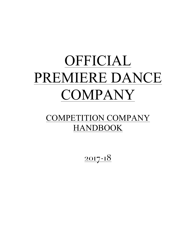# OFFICIAL PREMIERE DANCE COMPANY

# COMPETITION COMPANY HANDBOOK

 $2017 - 18$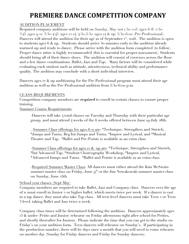# **PREMIERE DANCE COMPETITION COMPANY**

#### AUDITION/PLACEMENT

Required company auditions will be held on Sunday, May 21st 1:30-2:15 (ages 6-8) 2:30- 3:45 (ages 9-11) 3:30-4:45 (ages 12-14) 4:30-5:30 (ages 14 & up) 5:30-6:00 (Pre-Professional). Dancers will attend the audition for their age as of September  $r^{st}$ , 2016. The audition is open to students ages 6 & up. Students should arrive 30 minutes early to the audition already warmed-up and ready to dance. Please arrive with the audition form completed (to follow). Proper dance attire is highly recommended (this is essential for proper assessment). Students should bring all of their dance shoes. The audition will consist of exercises across the floor and a few dance combinations (Ballet, Jazz and Tap). Many factors will be considered while evaluating each student such as attitude, attentiveness, technical ability and performance quality. The audition may conclude with a short individual interview.

Dancers ages 12 & up auditioning for the Pre-Professional program must attend their age audition as well as the Pre-Professional audition from 5:30-6:00 p.m.

#### CLASS REQUIREMENTS

Competition company members are **required** to enroll in certain classes to ensure proper training.

Summer Course Requirements:

-Dancers will take 4 total classes on Tuesday and Thursday with their particular age group, and must attend 4 weeks of the 6 weeks offered between June 19-July 28th.

-Summer Class offerings for ages 6-11 are: \*Technique, Strengthen and Stretch, \*Jumps and Turns, Beg/Int Jumps and Turns, \*Improv and Lyrical, and \*Musical Theatre and Tap. \*Ballet and Pre-Pointe is available as an extra class

-Summer Class offerings for ages 12 & up are: \*Technique, Strengthen and Stretch, \*Int/Advanced Tap, \*Student Choreography Workshop, \*Improv and Lyrical, \*Advanced Jumps and Turns. \*Ballet and Pointe is available as an extra class.

-Required Summer Master Class: All dancers must either attend the Kim McSwain summer master class on Friday, June  $q<sup>th</sup>$  or the Jim Nowakowski summer master class on Sunday, June 25th.

#### School year classes (Sept-May)

Company members are required to take Ballet, Jazz and Company class. Dancers over the age of 11 must enroll in Junior 2 or higher ballet, which meets twice per week. If a dancer is cast in a tap dance, they must also take Tap class. All teen level dancers must take Teen 2 or Teen 3 level, taking Ballet and Jazz twice a week.

Company class times will be determined following the audition. Dancers approximately ages 13 & under (Petite and Junior) rehearse on Friday afternoons right after school for Petites, and shortly thereafter for Juniors. Please indicate the time that you can get to the studio on Friday's on your audition form. Teen dancers will rehearse on Sunday's. If participating in the production number, there will be days once a month that you will need to come rehearse on another day (Sunday for Friday dancers and Friday for Sunday dancers).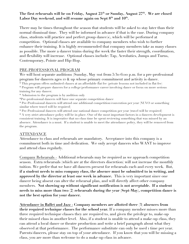#### The first rehearsals will be on Friday, August 25<sup>th</sup> or Sunday, August 27<sup>th</sup>. We are closed Labor Day weekend, and will resume again on Sept  $8<sup>th</sup>$  and  $10<sup>th</sup>$ .

There may be times throughout the season that students will be asked to stay later than their normal dismissal time. They will be informed in advance if that is the case. During company class, students will practice and perfect group dance(s), which will be performed at competition. Optional classes are available to company members who wish to further enhance their training. It is highly recommended that company members take as many classes as possible. The more a dancer trains during the week the faster their strength, coordination, and flexibility will increase. Optional classes include: Tap, Acrobatics, Jumps and Turns, Contemporary, Pointe and Hip-Hop.

#### PRE-PROFESSIONAL PROGRAM

We will host separate auditions (Sunday, May 21st from 5:30-6:00 p.m. for a pre-professional program for dancers ages 12 & up whose primary commitment and activity is dance.

\* This program offers unlimited classes at an affordable flat fee (private lessons not included in flat fee)

\* Program will prepare dancers for a college/performance career involving dance or focus on more serious training for any dancer.

\* Admission to the program is by audition only

\*Pre-professional dancers will have one separate competition dance

\* Pre-Professional dancers will attend one additional competition/convention per year (NUVO or something similar where travel will be required)

\* Pre-Professional dancers will attend one national dance competition per year (travel will be required) \* A very strict attendance policy will be in place. One of the most important factors in a dancers development is consistent training. It is imperative that no class time be spent reviewing something that was missed by an absence. Attendance is a must. If a student is unable to meet the attendance policy, they will be removed from the program.

#### ATTENDANCE

Attendance to class and rehearsals are mandatory. Acceptance into this company is a commitment both in time and dedication. We only accept dancers who WANT to improve and attend class regularly.

Company Rehearsals - Additional rehearsals may be required as we approach competition season. Extra rehearsals (which are at the directors discretion) will not increase the monthly tuition. We prefer that we have all dancers present for rehearsals each and every week. But, **if a student needs to miss company class, the absence must be submitted to in writing, and approved by the director at least one week in advance.** This is very important since one dancer being absent can alter the rehearsal plan, and will directly affect other company members. **Not showing up without significant notification is not acceptable. If a student needs to miss more than two (2) rehearsals during the year (Sept-May), competition dance is not the best option for your dancer.**

**Attendance in Ballet and Jazz - Company members are allotted three (3) absences from their required technique classes for the school year.** If a company member misses more than three required technique classes they are required to, and given the privilege to, make-up their missed class in another level. Also, if a student is unable to attend a make-up class, they can attend a local dance or theatre production and write a brief paragraph about what they observed at that performance. The performance substitute can only be used 1 time per year. Parents/dancers, please stay on top of your attendance. If you know that you will be missing a class, you are more than welcome to do a make-up class in advance.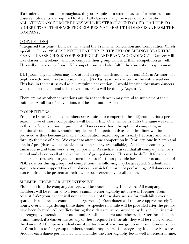If a student is ill, but not contagious, they are required to attend class and/or rehearsals and observe. Students are required to attend all classes during the week of a competition. ALL ATTENDANCE PROCEDURES WILL BE STRICTLY ENFORCED. FAILURE TO ADHERE TO ATTENDENCE PROCEDURES MAY RESULT IN DISSMISAL FROM THE COMPANY.

#### CONVENTIONS

\* **Required this year –** Dancers will attend the Tremaine Convention and Competition March 24-25th in Tulsa. \*PLEASE NOTE THAT THIS IS THE END OF SPRING BREAK THIS YEAR. PLEASE CHECK YOUR SCHEDULE, AND PLAN ACCORDINGLY. Dancers will take classes all weekend, and also compete their group dances at their competition as well. This will replace one of our OKC competitions, and also fulfill the convention requirement.

**DDI-** Company members may also attend an optional dance convention, DDI in Ardmore on Sept. 22-24th, 2016. Cost is approximately \$80 (last year) per dancer for the entire weekend. This has, in the past, served as our required convention. I would imagine that many dancers will still choose to attend this convention. Fees will be due by August r<sup>st</sup>.

There are many other conventions out there that dancers may attend to supplement their training. A full list of conventions will be sent out in August.

#### COMPETITIONS

Premiere Dance Company members are required to compete in three (3) competitions per season. Two of those competitions will be in OKC. One will be in Tulsa the same weekend as this year's convention requirement. Dancers may have the option of competing in additional competitions, should they desire. Competition dates and deadlines will be provided as they become available. Competition season begins in early February and runs through the first of May. We expect to attend one competition in February, one in March and one in April (dates will be provided as soon as they are available). As a dance company, camaraderie and teamwork is very important. As such, it is asked that all company members attend and cheer on all of their teammates' group dances. This may be difficult for some dancers, particularly our younger members, so if it is not possible for a dancer to attend all of PDC's dances during a required competition the following may be accepted. Students can sign up to come support two other dances in which they are not performing. All dancers are also required to be present at their own awards ceremony for all dances.

#### SUMMER CHOREOGRAPHY INTENSIVE

Placement into the company dance(s) will be announced by June 26th. All company members will be required to attend a summer choreography intensive at Premiere from August  $6$ - $5<sup>th</sup>$  (your dancer will not dance on all of these days-we ask for availability over a span of dates to best accommodate large groups) . Each dance will rehearse approximately 6 hours, over 2-3 days during these dates. A specific schedule will be provided after the groups have been formed. All conflicts during these dates must be provided by July 1<sup>st</sup>. During this choreography intensive, all group numbers will be taught and rehearsed. After the schedule is announced, if a dancer misses any of these required rehearsals, they will be removed from the dance. All Company students must perform in at least one group number. Students may perform in up to four group numbers, should they desire. Choreography Intensive Fees are \$100 for each dance per dancer. This includes the choreography fee as well as rehearsal time.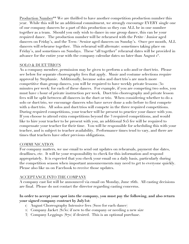Production Number\*\* We are thrilled to have another competition production number this year. While this will be an additional commitment, we strongly encourage EVERY single one of our company dancers be a part of this production so they can ALL be in one number together as a team. Should you only wish to dance in one group dance, this can be your required dance. The production number will be rehearsed with the Petite / Junior aged dancers on Friday's, and the Teen / Senior aged dancers on Sunday's. Once per month, ALL dancers will rehearse together. This rehearsal will alternate: sometimes taking place on Friday's, and sometimes on Sundays. These "all together" rehearsal dates will be provided in advance for the entire year with the company calendar dates no later than August r<sup>st</sup>.

#### SOLO & DUET/TRIO'S

As a company member, permission may be given to perform a solo and/or duet/trio. Please see below for separate choreography fees that apply. Music and costume selections require approval by Stephanie. Additionally, because solos and duet/trio's are much more competitive than group dances, you will be required to have weekly private lessons (30 minutes per week) for each of these dances. For example, if you are competing two solos, you must have 1 hour of private instruction per week. Duet/trio choreography and private lesson fees will be split between all dancers in the duet or trio. When considering whether to do a solo or duet/trio, we encourage dancers who have never done a solo before to first compete with a duet/trio. All solos and duet/trios will compete in the three required competitions. During required competitions, your teacher will be present to practice your dance with you. If you choose to attend extra competitions beyond the 3 required competitions, and would like to hire your teacher to be present with you, an additional \$25 fee will be required to compensate your teacher for their time. You will be responsible for scheduling this with your teacher, and is subject to teacher availability. Performance times tend to vary, and there are times that teachers have other previous obligations.

#### **COMMUNICATION**

For company matters, we use email to send out updates on rehearsals, payment due dates, deadlines, etc. It will be your responsibility to check for this information and respond appropriately. It is expected that you check your email on a daily basis, particularly during the competition season when important announcements may need to get to everyone quickly. Please also like us on Facebook to receive those updates.

#### ACCEPTANCE INTO THE COMPANY

A company cast list will be announced via email on Monday, June 26th. All casting decisions are final. Please do not contact the director regarding casting concerns.

#### **In order to accept your spot into the company, you must pay the following, and also return your signed company contract by July1st:**

- 1) August Choreography Intensive fees (\$100 for each dance)
- 2) Company Jacket (\$130) if new to the company or needing a new size
- 3) Company Leggings (\$70) if desired. This is an optional purchase.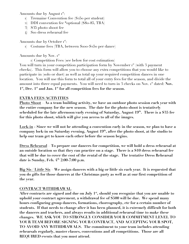Amounts due by August  $r^{st}$ :

- 1) Tremaine Convention fee (\$250 per student)
- 2) DDI convention fee \*optional (\$80-85, TBA)
- 3) \$35 photo shoot fee
- 4) \$10 dress rehearsal fee

Amounts due by October  $r^{st}$ :

1) Costume fees (TBA, between \$100-\$250 per dance)

Amounts due by Nov. 1st

1) Competition Fees (see below for cost estimation)

You will turn in your competition participation form by November  $r^{st}$  (with 3 payment checks). This form will allow you to choose any extra competitions that you would like to participate in (solo or duet) as well as total up your required competition dances in one location. You will use this form to total all of your entry fees for the season, and divide the amount into three equal payments. You will need to turn in 3 checks on Nov. r<sup>st</sup> dated: Nov. **1st, Dec. 1st and Jan. 1st for all competition fees for the season.** 

#### **EXTRA FEES/ACTIVITIES**

**Photo Shoot – As a team building activity, we have an outdoor photo session each year with the entire company for the new season. The date for the photo shoot is tentatively scheduled for the late afternoon/early evening of Saturday, August 19th. There is a \$35 fee for this photo shoot, which will give you access to all of the images.**

**Lock-in - Since we will not be attending a convention early in the season, we plan to have a company lock-in on Saturday evening, August 19th, after the photo shoot, at the studio to help our team get to know each other before the season begins.**

**Dress Rehearsal – To prepare our dancers for competition, we will hold a dress rehearsal at an outside location so that they can practice on a stage. There is a \$10 dress rehearsal fee that will be due to cover the cost of the rental of the stage. The tentative Dress Rehearsal date is Sunday, Feb. 4th 2:00-7:00 p.m.**

**Big Sis / Little Sis – We assign dancers with a big or little sis each year. It is requested that you do gifts for those dancers at the Christmas party as well as at our first competition of the year.**

#### **CONTRACT WITHDRAWAL**

After contracts are signed and due on July 1<sup>st</sup>, should you recognize that you are unable to **uphold your contract agreement, a withdrawal fee of \$500 will be due. We spend many hours configuring group dancers, formations, choreography, etc for a certain number of students. If that needs to change after it has been planned, it is extremely difficult for both the dancers and teachers, and always results in additional rehearsal time to make these changes. WE ASK YOU TO STRONGLY CONSIDER YOUR COMMITMENT LEVEL TO YOUR TEAM BEFORE SIGNING YOUR CONTRACT, AND ACCEPTING YOUR SPOT, TO AVOID ANY WITHDRAWALS. The commitment to your team includes attending rehearsals regularly, master classes, conventions and all competitions. Those are all REQUIRED events that you must attend.**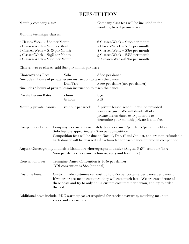## **FEES/TUITION**

Monthly company class: Company class fees will be included in the monthly, tiered payment scale

Monthly technique classes:

| $\text{I}$ Classes/Week = \$60 per Month          | 6 Classes/Week = $$260$ per month                |
|---------------------------------------------------|--------------------------------------------------|
| 2 Classes/Week = $\text{\$no per Month}$          | $\overline{7}$ Classes/Week = \$285 per month    |
| $3 \text{ Classes/Week} = $155 \text{ per Month}$ | $8 \text{ Classes/Week} = $3\text{to per month}$ |
| $4 \text{ Classes/Week} = \text{Sig5 per Month}$  | $\alpha$ Classes/Week = \$335 per month          |
| $5 \text{ Classes/Week} = $23$ o per Month        | to Classes/Week=\$360 per month                  |

Classes over 10 classes, add \$20 per month per class

| Choreography Fees:       | Solo                                                                                                                                                                                                                                                          | \$600 per dance                                                                                                                                                                                                                                                                    |
|--------------------------|---------------------------------------------------------------------------------------------------------------------------------------------------------------------------------------------------------------------------------------------------------------|------------------------------------------------------------------------------------------------------------------------------------------------------------------------------------------------------------------------------------------------------------------------------------|
|                          | *includes 4 hours of private lesson instruction to teach the dance                                                                                                                                                                                            |                                                                                                                                                                                                                                                                                    |
|                          | Duo/Trio                                                                                                                                                                                                                                                      | \$700 per dance (not per dancer)                                                                                                                                                                                                                                                   |
|                          | *includes 4 hours of private lesson instruction to teach the dance                                                                                                                                                                                            |                                                                                                                                                                                                                                                                                    |
| Private Lesson Rates:    | I hour<br>$\frac{1}{2}$ hour                                                                                                                                                                                                                                  | $S_{70}$<br>\$35                                                                                                                                                                                                                                                                   |
| Monthly private lessons: | $1/2$ hour per week                                                                                                                                                                                                                                           | A private lesson schedule will be provided<br>you in August. We will divide all of your<br>private lesson dates over 9 months to<br>determine your monthly private lesson fee.                                                                                                     |
| <b>Competition Fees:</b> | Solo fees are approximately \$120 per competition                                                                                                                                                                                                             | Company fees are approximately \$50/per dancer/per dance/per competition.<br>Competition fees will be due on Nov. r <sup>st</sup> , Dec. r <sup>st</sup> and Jan. rst, and are non-refundable<br>Each dancer will be charged a \$5 admin fee for each dance entered in competition |
|                          |                                                                                                                                                                                                                                                               | August Choreography Intensive: Mandatory choreography intensive (August 6-15 <sup>th</sup> ) schedule TBA<br>S100 per dancer per dance (choreography and lesson fee)                                                                                                               |
| <b>Convention Fees:</b>  | Tremaine Dance Convention is \$250 per dancer<br>DDI convention is \$80 (optional)                                                                                                                                                                            |                                                                                                                                                                                                                                                                                    |
| <b>Costume Fees:</b>     | Custom made costumes can cost up to \$250 per costume/per dance/per dancer.<br>If we order pre-made costumes, they will cost much less. We are considerate of<br>these costs and try to only do 1-2 custom costumes per person, and try to order<br>the rest. |                                                                                                                                                                                                                                                                                    |
|                          | shoes and accessories.                                                                                                                                                                                                                                        | Additional costs include: PDC warm up jacket (required for receiving awards), matching make-up,                                                                                                                                                                                    |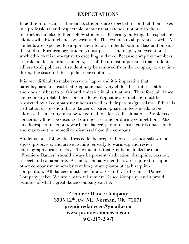## **EXPECTATIONS**

In addition to regular attendance, students are expected to conduct themselves in a professional and respectable manner that extends, not only to their instructor, but also to their fellow students. Bickering, bullying, disrespect and cliques will absolutely not be permitted. This extends to all parents as well. All students are expected to support their fellow students both in class and outside the studio. Furthermore, students must possess and display an exceptional work ethic that is imperative to excelling in dance. Because company members are role models to other students, it is of the utmost importance that students adhere to all policies. A student may be removed from the company at any time during the season if these policies are not met.

It is very difficult to make everyone happy and it is imperative that parents/guardians trust that Stephanie has every child's best interest at heart and does her best to be fair and amicable in all situations. Therefore, all dance and company related decisions made by Stephanie are final and must be respected by all company members as well as their parents/guardians. If there is a situation or question that a dancer or parent/guardian feels needs to be addressed, a meeting must be scheduled to address the situation. Problems or concerns will not be discussed during class time or during competitions. Also, any disrespectful action toward any dancer, parent or instructor is unacceptable and may result in immediate dismissal from the company.

Students must follow the dress code, be prepared for class/rehearsals with all shoes, props, etc. and arrive 10 minutes early to warm-up and review choreography prior to class. The qualities that Stephanie looks for in a "Premiere Dancer" should always be present: dedication, discipline, passion, respect and camaraderie. As such, company members are required to support other company members by watching other groups at each required competition. All dancers must stay for awards and wear Premiere Dance Company jacket. We are a team at Premiere Dance Company, and a proud example of what a great dance company can be.

> **Premiere Dance Company 3505 12th Ave NE, Norman, OK 73071 premieredanceco@gmail.com www.premieredanceco.com 405-217-2363**